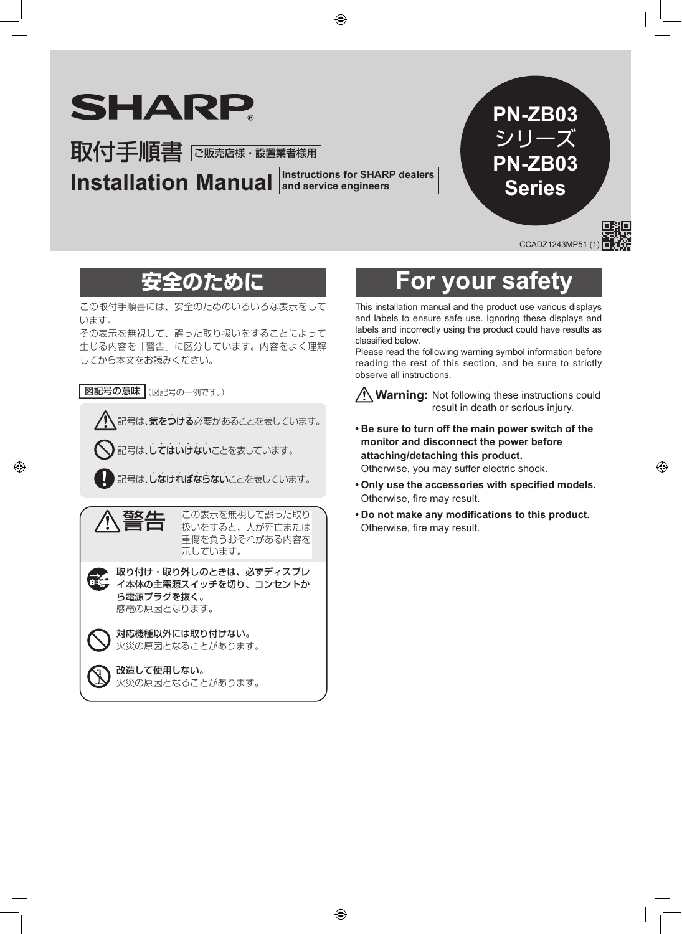# **SHARP**

取付手順書 に販売店様・設置業者様用

**Installation Manual** and service engineers

**and service engineers**

### **PN-ZB03** シリーズ **PN-ZB03 Series**

CCADZ1243MP51 (

この取付手順書には、安全のためのいろいろな表示をして います。

その表示を無視して、誤った取り扱いをすることによって 生じる内容を「警告」に区分しています。内容をよく理解 してから本文をお読みください。

図記号の意味 (図記号の一例です。)

記号は、気をつける必要があることを表しています。

記号は、してはいけないことを表しています。



警告 この表示を無視して誤った取り 扱いをすると、人が死亡または 重傷を負うおそれがある内容を 示しています。

取り付け・取り外しのときは、必ずディスプレ イ本体の主電源スイッチを切り、コンセントか ら電源プラグを抜く。 感電の原因となります。





### **安全のために For your safety**

This installation manual and the product use various displays and labels to ensure safe use. Ignoring these displays and labels and incorrectly using the product could have results as classified below.

Please read the following warning symbol information before reading the rest of this section, and be sure to strictly observe all instructions.

**Warning:** Not following these instructions could result in death or serious injury.

**• Be sure to turn off the main power switch of the monitor and disconnect the power before attaching/detaching this product.**

Otherwise, you may suffer electric shock.

- **• Only use the accessories with specified models.** Otherwise, fire may result.
- **• Do not make any modifications to this product.** Otherwise, fire may result.